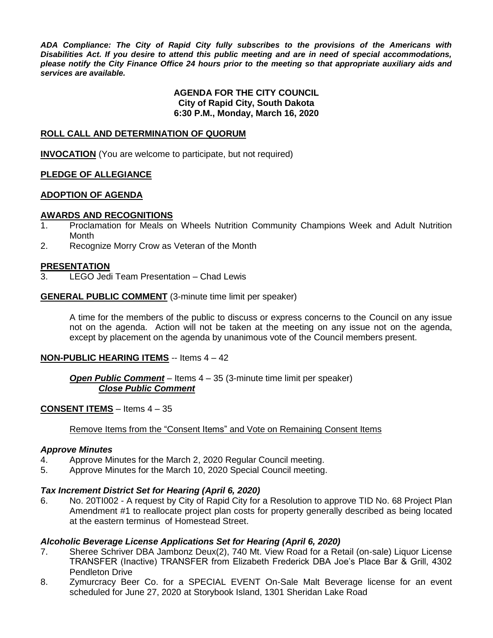*ADA Compliance: The City of Rapid City fully subscribes to the provisions of the Americans with Disabilities Act. If you desire to attend this public meeting and are in need of special accommodations, please notify the City Finance Office 24 hours prior to the meeting so that appropriate auxiliary aids and services are available.*

#### **AGENDA FOR THE CITY COUNCIL City of Rapid City, South Dakota 6:30 P.M., Monday, March 16, 2020**

#### **ROLL CALL AND DETERMINATION OF QUORUM**

**INVOCATION** (You are welcome to participate, but not required)

#### **PLEDGE OF ALLEGIANCE**

#### **ADOPTION OF AGENDA**

#### **AWARDS AND RECOGNITIONS**

- 1. Proclamation for Meals on Wheels Nutrition Community Champions Week and Adult Nutrition **Month**
- 2. Recognize Morry Crow as Veteran of the Month

#### **PRESENTATION**

3. LEGO Jedi Team Presentation – Chad Lewis

#### **GENERAL PUBLIC COMMENT** (3-minute time limit per speaker)

A time for the members of the public to discuss or express concerns to the Council on any issue not on the agenda. Action will not be taken at the meeting on any issue not on the agenda, except by placement on the agenda by unanimous vote of the Council members present.

#### **NON-PUBLIC HEARING ITEMS** -- Items 4 – 42

#### *Open Public Comment* – Items 4 – 35 (3-minute time limit per speaker) *Close Public Comment*

#### **CONSENT ITEMS** – Items 4 – 35

#### Remove Items from the "Consent Items" and Vote on Remaining Consent Items

#### *Approve Minutes*

- 4. Approve Minutes for the March 2, 2020 Regular Council meeting.
- 5. Approve Minutes for the March 10, 2020 Special Council meeting.

#### *Tax Increment District Set for Hearing (April 6, 2020)*

6. No. 20TI002 - A request by City of Rapid City for a Resolution to approve TID No. 68 Project Plan Amendment #1 to reallocate project plan costs for property generally described as being located at the eastern terminus of Homestead Street.

#### *Alcoholic Beverage License Applications Set for Hearing (April 6, 2020)*

- 7. Sheree Schriver DBA Jambonz Deux(2), 740 Mt. View Road for a Retail (on-sale) Liquor License TRANSFER (Inactive) TRANSFER from Elizabeth Frederick DBA Joe's Place Bar & Grill, 4302 Pendleton Drive
- 8. Zymurcracy Beer Co. for a SPECIAL EVENT On-Sale Malt Beverage license for an event scheduled for June 27, 2020 at Storybook Island, 1301 Sheridan Lake Road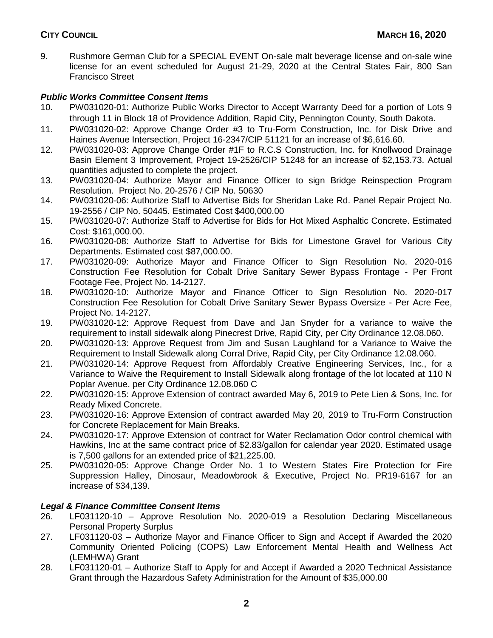9. Rushmore German Club for a SPECIAL EVENT On-sale malt beverage license and on-sale wine license for an event scheduled for August 21-29, 2020 at the Central States Fair, 800 San Francisco Street

## *Public Works Committee Consent Items*

- 10. PW031020-01: Authorize Public Works Director to Accept Warranty Deed for a portion of Lots 9 through 11 in Block 18 of Providence Addition, Rapid City, Pennington County, South Dakota.
- 11. PW031020-02: Approve Change Order #3 to Tru-Form Construction, Inc. for Disk Drive and Haines Avenue Intersection, Project 16-2347/CIP 51121 for an increase of \$6,616.60.
- 12. PW031020-03: Approve Change Order #1F to R.C.S Construction, Inc. for Knollwood Drainage Basin Element 3 Improvement, Project 19-2526/CIP 51248 for an increase of \$2,153.73. Actual quantities adjusted to complete the project.
- 13. PW031020-04: Authorize Mayor and Finance Officer to sign Bridge Reinspection Program Resolution. Project No. 20-2576 / CIP No. 50630
- 14. PW031020-06: Authorize Staff to Advertise Bids for Sheridan Lake Rd. Panel Repair Project No. 19-2556 / CIP No. 50445. Estimated Cost \$400,000.00
- 15. PW031020-07: Authorize Staff to Advertise for Bids for Hot Mixed Asphaltic Concrete. Estimated Cost: \$161,000.00.
- 16. PW031020-08: Authorize Staff to Advertise for Bids for Limestone Gravel for Various City Departments. Estimated cost \$87,000.00.
- 17. PW031020-09: Authorize Mayor and Finance Officer to Sign Resolution No. 2020-016 Construction Fee Resolution for Cobalt Drive Sanitary Sewer Bypass Frontage - Per Front Footage Fee, Project No. 14-2127.
- 18. PW031020-10: Authorize Mayor and Finance Officer to Sign Resolution No. 2020-017 Construction Fee Resolution for Cobalt Drive Sanitary Sewer Bypass Oversize - Per Acre Fee, Project No. 14-2127.
- 19. PW031020-12: Approve Request from Dave and Jan Snyder for a variance to waive the requirement to install sidewalk along Pinecrest Drive, Rapid City, per City Ordinance 12.08.060.
- 20. PW031020-13: Approve Request from Jim and Susan Laughland for a Variance to Waive the Requirement to Install Sidewalk along Corral Drive, Rapid City, per City Ordinance 12.08.060.
- 21. PW031020-14: Approve Request from Affordably Creative Engineering Services, Inc., for a Variance to Waive the Requirement to Install Sidewalk along frontage of the lot located at 110 N Poplar Avenue. per City Ordinance 12.08.060 C
- 22. PW031020-15: Approve Extension of contract awarded May 6, 2019 to Pete Lien & Sons, Inc. for Ready Mixed Concrete.
- 23. PW031020-16: Approve Extension of contract awarded May 20, 2019 to Tru-Form Construction for Concrete Replacement for Main Breaks.
- 24. PW031020-17: Approve Extension of contract for Water Reclamation Odor control chemical with Hawkins, Inc at the same contract price of \$2.83/gallon for calendar year 2020. Estimated usage is 7,500 gallons for an extended price of \$21,225.00.
- 25. PW031020-05: Approve Change Order No. 1 to Western States Fire Protection for Fire Suppression Halley, Dinosaur, Meadowbrook & Executive, Project No. PR19-6167 for an increase of \$34,139.

## *Legal & Finance Committee Consent Items*

- 26. LF031120-10 Approve Resolution No. 2020-019 a Resolution Declaring Miscellaneous Personal Property Surplus
- 27. LF031120-03 Authorize Mayor and Finance Officer to Sign and Accept if Awarded the 2020 Community Oriented Policing (COPS) Law Enforcement Mental Health and Wellness Act (LEMHWA) Grant
- 28. LF031120-01 Authorize Staff to Apply for and Accept if Awarded a 2020 Technical Assistance Grant through the Hazardous Safety Administration for the Amount of \$35,000.00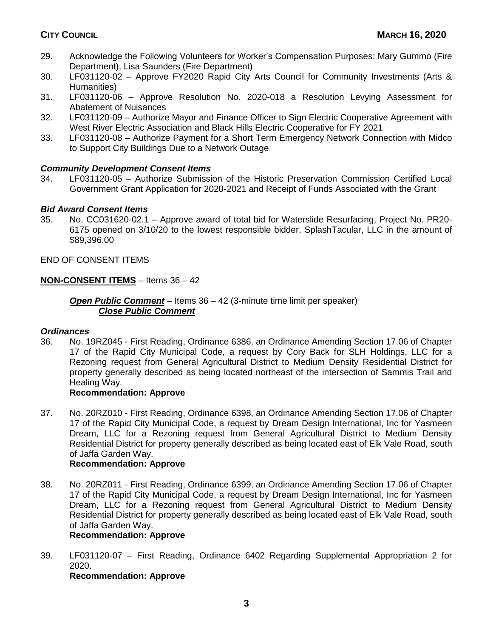- 29. Acknowledge the Following Volunteers for Worker's Compensation Purposes: Mary Gummo (Fire Department), Lisa Saunders (Fire Department)
- 30. LF031120-02 Approve FY2020 Rapid City Arts Council for Community Investments (Arts & Humanities)
- 31. LF031120-06 Approve Resolution No. 2020-018 a Resolution Levying Assessment for Abatement of Nuisances
- 32. LF031120-09 Authorize Mayor and Finance Officer to Sign Electric Cooperative Agreement with West River Electric Association and Black Hills Electric Cooperative for FY 2021
- 33. LF031120-08 Authorize Payment for a Short Term Emergency Network Connection with Midco to Support City Buildings Due to a Network Outage

## *Community Development Consent Items*

34. LF031120-05 – Authorize Submission of the Historic Preservation Commission Certified Local Government Grant Application for 2020-2021 and Receipt of Funds Associated with the Grant

## *Bid Award Consent Items*

35. No. CC031620-02.1 – Approve award of total bid for Waterslide Resurfacing, Project No. PR20- 6175 opened on 3/10/20 to the lowest responsible bidder, SplashTacular, LLC in the amount of \$89,396.00

END OF CONSENT ITEMS

## **NON-CONSENT ITEMS** – Items 36 – 42

*Open Public Comment* – Items 36 – 42 (3-minute time limit per speaker) *Close Public Comment*

## *Ordinances*

36. No. 19RZ045 - First Reading, Ordinance 6386, an Ordinance Amending Section 17.06 of Chapter 17 of the Rapid City Municipal Code, a request by Cory Back for SLH Holdings, LLC for a Rezoning request from General Agricultural District to Medium Density Residential District for property generally described as being located northeast of the intersection of Sammis Trail and Healing Way.

## **Recommendation: Approve**

37. No. 20RZ010 - First Reading, Ordinance 6398, an Ordinance Amending Section 17.06 of Chapter 17 of the Rapid City Municipal Code, a request by Dream Design International, Inc for Yasmeen Dream, LLC for a Rezoning request from General Agricultural District to Medium Density Residential District for property generally described as being located east of Elk Vale Road, south of Jaffa Garden Way.

## **Recommendation: Approve**

38. No. 20RZ011 - First Reading, Ordinance 6399, an Ordinance Amending Section 17.06 of Chapter 17 of the Rapid City Municipal Code, a request by Dream Design International, Inc for Yasmeen Dream, LLC for a Rezoning request from General Agricultural District to Medium Density Residential District for property generally described as being located east of Elk Vale Road, south of Jaffa Garden Way.

## **Recommendation: Approve**

39. LF031120-07 – First Reading, Ordinance 6402 Regarding Supplemental Appropriation 2 for 2020.

**Recommendation: Approve**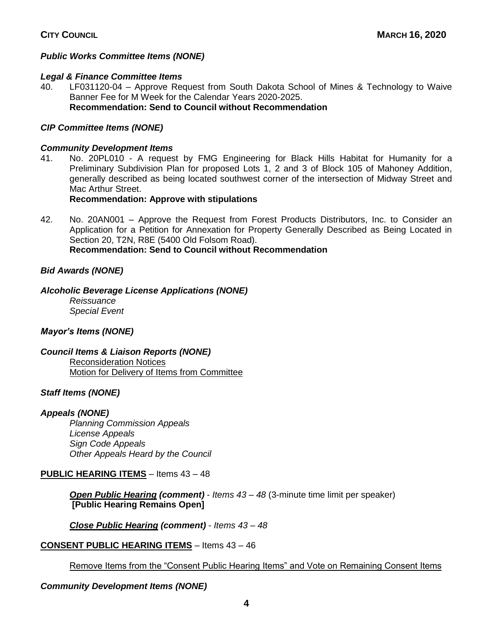## *Public Works Committee Items (NONE)*

## *Legal & Finance Committee Items*

40. LF031120-04 – Approve Request from South Dakota School of Mines & Technology to Waive Banner Fee for M Week for the Calendar Years 2020-2025. **Recommendation: Send to Council without Recommendation**

## *CIP Committee Items (NONE)*

## *Community Development Items*

41. No. 20PL010 - A request by FMG Engineering for Black Hills Habitat for Humanity for a Preliminary Subdivision Plan for proposed Lots 1, 2 and 3 of Block 105 of Mahoney Addition, generally described as being located southwest corner of the intersection of Midway Street and Mac Arthur Street.

## **Recommendation: Approve with stipulations**

42. No. 20AN001 – Approve the Request from Forest Products Distributors, Inc. to Consider an Application for a Petition for Annexation for Property Generally Described as Being Located in Section 20, T2N, R8E (5400 Old Folsom Road). **Recommendation: Send to Council without Recommendation**

# *Bid Awards (NONE)*

*Alcoholic Beverage License Applications (NONE)*

*Reissuance Special Event*

## *Mayor's Items (NONE)*

*Council Items & Liaison Reports (NONE)* Reconsideration Notices Motion for Delivery of Items from Committee

## *Staff Items (NONE)*

## *Appeals (NONE)*

*Planning Commission Appeals License Appeals Sign Code Appeals Other Appeals Heard by the Council*

## **PUBLIC HEARING ITEMS** – Items 43 – 48

*Open Public Hearing (comment)* - *Items 43 – 48* (3-minute time limit per speaker) **[Public Hearing Remains Open]**

*Close Public Hearing (comment)* - *Items 43 – 48*

## **CONSENT PUBLIC HEARING ITEMS** – Items 43 – 46

Remove Items from the "Consent Public Hearing Items" and Vote on Remaining Consent Items

## *Community Development Items (NONE)*